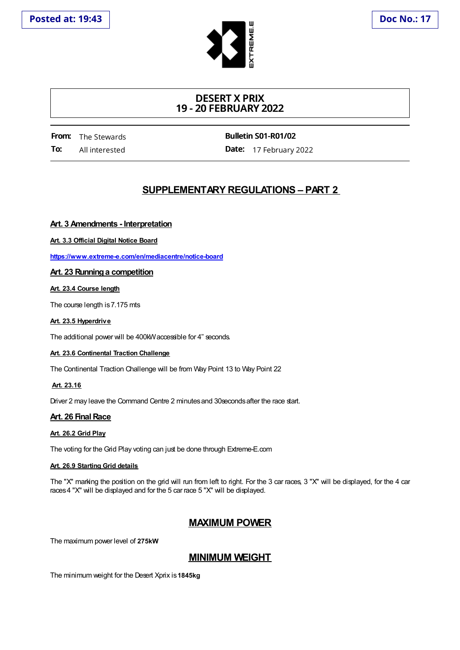

# **DESERT X PRIX 19 - 20 FEBRUARY 2022**

**From:** The Stewards **To:** All interested

**Bulletin S01-R01/02**

**Date:** 17 February 2022

# **SUPPLEMENTARY REGULATIONS – PART 2**

## **Art. 3 Amendments - Interpretation**

**Art. 3.3 Official Digital Notice Board**

**https://www.extreme-e.com/en/mediacentre/notice-board**

### **Art. 23 Runninga competition**

**Art. 23.4 Course length**

The course length is 7.175 mts

#### **Art. 23.5 Hyperdrive**

The additional power will be 400kW accessible for 4" seconds.

#### **Art. 23.6 Continental Traction Challenge**

The Continental Traction Challenge will be from Way Point 13 to Way Point 22

### **Art. 23.16**

Driver 2 may leave the Command Centre 2 minutes and 30seconds after the race start.

### **Art. 26 Final Race**

#### **Art. 26.2 Grid Play**

The voting for the Grid Play voting can just be done through Extreme-E.com

#### **Art. 26.9 Starting Grid details**

The "X" marking the position on the grid will run from left to right. For the 3 car races, 3 "X" will be displayed, for the 4 car races4 "X" will be displayed and for the 5 car race 5 "X" will be displayed.

# **MAXIMUM POWER**

The maximum power level of **275kW**

# **MINIMUM WEIGHT**

The minimum weight for the Desert Xprix is**1845kg**